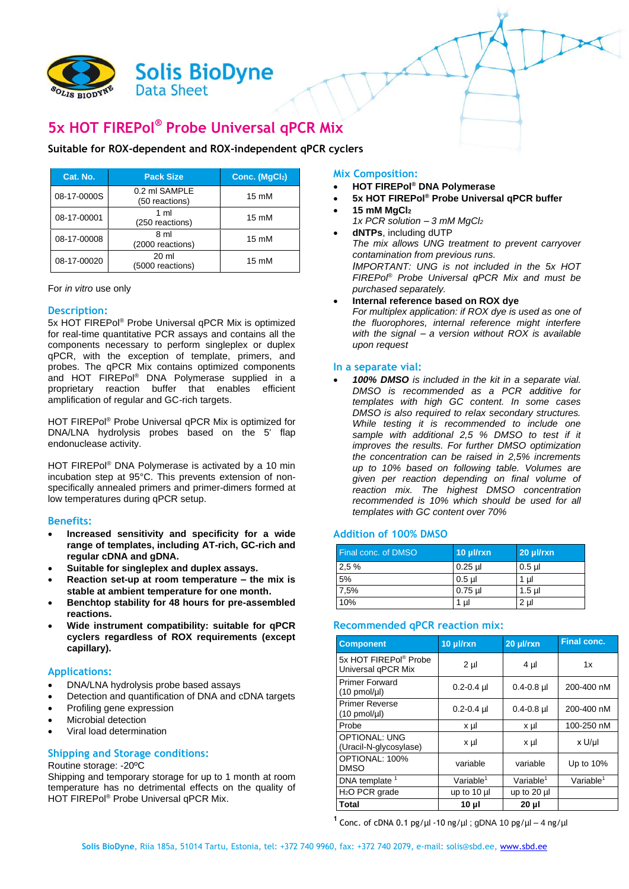

# **5x HOT FIREPol® Probe Universal qPCR Mix**

## **Suitable for ROX-dependent and ROX-independent qPCR cyclers**

| Cat. No.    | <b>Pack Size</b>                | Conc. (MgCl2)   |
|-------------|---------------------------------|-----------------|
| 08-17-0000S | 0.2 ml SAMPLE<br>(50 reactions) | 15 mM           |
| 08-17-00001 | 1 ml<br>(250 reactions)         | 15 mM           |
| 08-17-00008 | 8 ml<br>(2000 reactions)        | 15 mM           |
| 08-17-00020 | 20 ml<br>(5000 reactions)       | $15 \text{ mM}$ |

|  | For in vitro use only |  |  |
|--|-----------------------|--|--|
|  |                       |  |  |

### **Description:**

5x HOT FIREPol® Probe Universal qPCR Mix is optimized for real-time quantitative PCR assays and contains all the components necessary to perform singleplex or duplex qPCR, with the exception of template, primers, and probes. The qPCR Mix contains optimized components and HOT FIREPol® DNA Polymerase supplied in a proprietary reaction buffer that enables efficient amplification of regular and GC-rich targets.

HOT FIREPol® Probe Universal qPCR Mix is optimized for DNA/LNA hydrolysis probes based on the 5' flap endonuclease activity.

HOT FIREPol® DNA Polymerase is activated by a 10 min incubation step at 95°C. This prevents extension of nonspecifically annealed primers and primer-dimers formed at low temperatures during qPCR setup.

#### **Benefits:**

- **Increased sensitivity and specificity for a wide range of templates, including AT-rich, GC-rich and regular cDNA and gDNA.**
- **Suitable for singleplex and duplex assays.**
- **Reaction set-up at room temperature – the mix is stable at ambient temperature for one month.**
- **Benchtop stability for 48 hours for pre-assembled reactions.**
- **Wide instrument compatibility: suitable for qPCR cyclers regardless of ROX requirements (except capillary).**

#### **Applications:**

- DNA/LNA hydrolysis probe based assays
- Detection and quantification of DNA and cDNA targets
- Profiling gene expression
- Microbial detection
- Viral load determination

#### **Shipping and Storage conditions:**

#### Routine storage: -20ºC

Shipping and temporary storage for up to 1 month at room temperature has no detrimental effects on the quality of HOT FIREPol® Probe Universal qPCR Mix.

#### **Mix Composition:**

- **HOT FIREPol® DNA Polymerase**
- **5x HOT FIREPol® Probe Universal qPCR buffer**
- **15 mM MgCl<sup>2</sup>**
	- *1x PCR solution – 3 mM MgCl<sup>2</sup>*
- **dNTPs**, including dUTP *The mix allows UNG treatment to prevent carryover contamination from previous runs. IMPORTANT: UNG is not included in the 5x HOT FIREPol® Probe Universal qPCR Mix and must be purchased separately.*

### **Internal reference based on ROX dye**

*For multiplex application: if ROX dye is used as one of the fluorophores, internal reference might interfere with the signal – a version without ROX is available upon request*

#### **In a separate vial:**

 *100% DMSO is included in the kit in a separate vial. DMSO is recommended as a PCR additive for templates with high GC content. In some cases DMSO is also required to relax secondary structures. While testing it is recommended to include one sample with additional 2,5 % DMSO to test if it improves the results. For further DMSO optimization the concentration can be raised in 2,5% increments up to 10% based on following table. Volumes are given per reaction depending on final volume of reaction mix. The highest DMSO concentration recommended is 10% which should be used for all templates with GC content over 70%*

#### **Addition of 100% DMSO**

| <b>Final conc. of DMSO</b> | 10 µl/rxn | $20$ µ $\frac{1}{x}$ n |
|----------------------------|-----------|------------------------|
| 2.5%                       | $0.25$ µl | $0.5$ µl               |
| 5%                         | $0.5$ µl  | 1 ul                   |
| 7,5%                       | $0.75$ µl | $1.5$ µ                |
| 10%                        | 1 µl      | $2 \mu$                |

#### **Recommended qPCR reaction mix:**

| <b>Component</b>                                   | 10 µl/rxn             | 20 µl/rxn             | <b>Final conc.</b>       |
|----------------------------------------------------|-----------------------|-----------------------|--------------------------|
| 5x HOT FIREPol® Probe<br>Universal qPCR Mix        | 2 <sub>µ</sub>        | $4 \mu$               | 1x                       |
| <b>Primer Forward</b><br>$(10 \text{ pmol/}\mu l)$ | $0.2 - 0.4$ µl        | $0.4 - 0.8$ µ         | 200-400 nM               |
| <b>Primer Reverse</b><br>$(10 \text{ pmol/}\mu$    | $0.2 - 0.4$ µl        | $0.4 - 0.8$ µ         | 200-400 nM               |
| Probe                                              | x µl                  | x µl                  | 100-250 nM               |
| <b>OPTIONAL: UNG</b><br>(Uracil-N-glycosylase)     | x µl                  | x µl                  | x U/µl                   |
| OPTIONAL: 100%<br><b>DMSO</b>                      | variable              | variable              | Up to $10\%$             |
| DNA template <sup>1</sup>                          | Variable <sup>1</sup> | Variable <sup>1</sup> | $V$ ariable <sup>1</sup> |
| H <sub>2</sub> O PCR grade                         | up to 10 µl           | up to 20 µl           |                          |
| Total                                              | 10 µl                 | 20 µl                 |                          |

<sup>1</sup> Conc. of cDNA 0.1 pg/ $\mu$ l -10 ng/ $\mu$ l; gDNA 10 pg/ $\mu$ l – 4 ng/ $\mu$ l